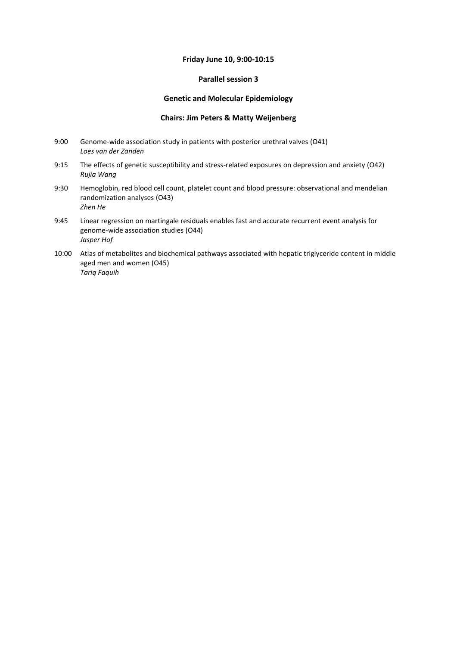## **Friday June 10, 9:00-10:15**

#### **Parallel session 3**

#### **Genetic and Molecular Epidemiology**

#### **Chairs: Jim Peters & Matty Weijenberg**

- 9:00 Genome-wide association study in patients with posterior urethral valves (O41) *Loes van der Zanden*
- 9:15 The effects of genetic susceptibility and stress-related exposures on depression and anxiety (O42) *Rujia Wang*
- 9:30 Hemoglobin, red blood cell count, platelet count and blood pressure: observational and mendelian randomization analyses (O43) *Zhen He*
- 9:45 Linear regression on martingale residuals enables fast and accurate recurrent event analysis for genome-wide association studies (O44) *Jasper Hof*
- 10:00 Atlas of metabolites and biochemical pathways associated with hepatic triglyceride content in middle aged men and women (O45) *Tariq Faquih*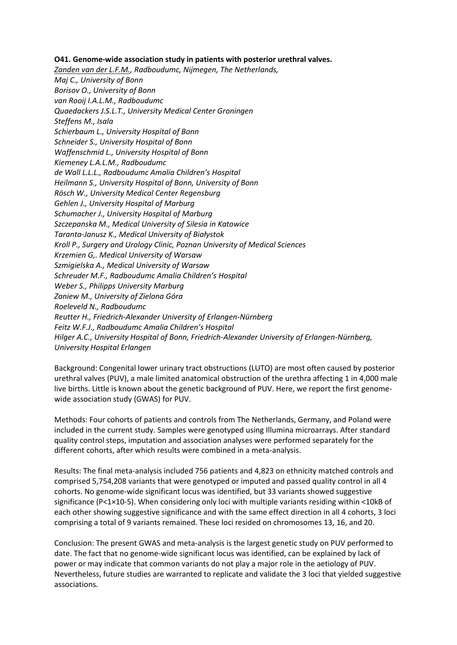## **O41. Genome-wide association study in patients with posterior urethral valves.**

*Zanden van der L.F.M., Radboudumc, Nijmegen, The Netherlands, Maj C., University of Bonn Borisov O., University of Bonn van Rooij I.A.L.M., Radboudumc Quaedackers J.S.L.T., University Medical Center Groningen Steffens M., Isala Schierbaum L., University Hospital of Bonn Schneider S., University Hospital of Bonn Waffenschmid L., University Hospital of Bonn Kiemeney L.A.L.M., Radboudumc de Wall L.L.L., Radboudumc Amalia Children's Hospital Heilmann S., University Hospital of Bonn, University of Bonn Rösch W., University Medical Center Regensburg Gehlen J., University Hospital of Marburg Schumacher J., University Hospital of Marburg Szczepanska M., Medical University of Silesia in Katowice Taranta-Janusz K., Medical University of Białystok Kroll P., Surgery and Urology Clinic, Poznan University of Medical Sciences Krzemien G,. Medical University of Warsaw Szmigielska A., Medical University of Warsaw Schreuder M.F., Radboudumc Amalia Children's Hospital Weber S., Philipps University Marburg Zaniew M., University of Zielona Góra Roeleveld N., Radboudumc Reutter H., Friedrich-Alexander University of Erlangen-Nürnberg Feitz W.F.J., Radboudumc Amalia Children's Hospital Hilger A.C., University Hospital of Bonn, Friedrich-Alexander University of Erlangen-Nürnberg, University Hospital Erlangen*

Background: Congenital lower urinary tract obstructions (LUTO) are most often caused by posterior urethral valves (PUV), a male limited anatomical obstruction of the urethra affecting 1 in 4,000 male live births. Little is known about the genetic background of PUV. Here, we report the first genomewide association study (GWAS) for PUV.

Methods: Four cohorts of patients and controls from The Netherlands, Germany, and Poland were included in the current study. Samples were genotyped using Illumina microarrays. After standard quality control steps, imputation and association analyses were performed separately for the different cohorts, after which results were combined in a meta-analysis.

Results: The final meta-analysis included 756 patients and 4,823 on ethnicity matched controls and comprised 5,754,208 variants that were genotyped or imputed and passed quality control in all 4 cohorts. No genome-wide significant locus was identified, but 33 variants showed suggestive significance (P<1×10-5). When considering only loci with multiple variants residing within <10kB of each other showing suggestive significance and with the same effect direction in all 4 cohorts, 3 loci comprising a total of 9 variants remained. These loci resided on chromosomes 13, 16, and 20.

Conclusion: The present GWAS and meta-analysis is the largest genetic study on PUV performed to date. The fact that no genome-wide significant locus was identified, can be explained by lack of power or may indicate that common variants do not play a major role in the aetiology of PUV. Nevertheless, future studies are warranted to replicate and validate the 3 loci that yielded suggestive associations.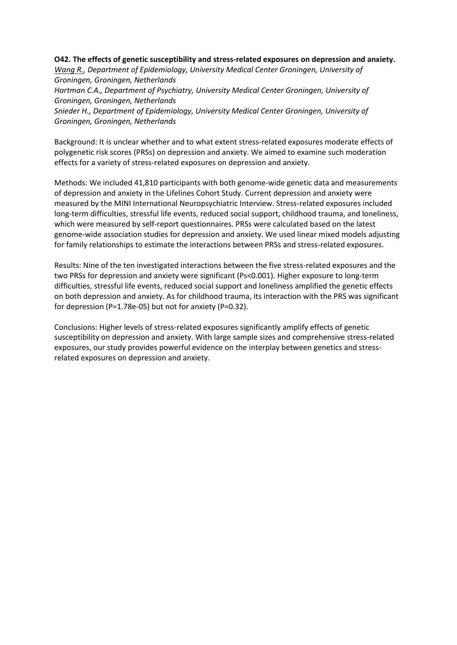## **O42. The effects of genetic susceptibility and stress-related exposures on depression and anxiety.**

*Wang R., Department of Epidemiology, University Medical Center Groningen, University of Groningen, Groningen, Netherlands*

*Hartman C.A., Department of Psychiatry, University Medical Center Groningen, University of Groningen, Groningen, Netherlands*

*Snieder H., Department of Epidemiology, University Medical Center Groningen, University of Groningen, Groningen, Netherlands*

Background: It is unclear whether and to what extent stress-related exposures moderate effects of polygenetic risk scores (PRSs) on depression and anxiety. We aimed to examine such moderation effects for a variety of stress-related exposures on depression and anxiety.

Methods: We included 41,810 participants with both genome-wide genetic data and measurements of depression and anxiety in the Lifelines Cohort Study. Current depression and anxiety were measured by the MINI International Neuropsychiatric Interview. Stress-related exposures included long-term difficulties, stressful life events, reduced social support, childhood trauma, and loneliness, which were measured by self-report questionnaires. PRSs were calculated based on the latest genome-wide association studies for depression and anxiety. We used linear mixed models adjusting for family relationships to estimate the interactions between PRSs and stress-related exposures.

Results: Nine of the ten investigated interactions between the five stress-related exposures and the two PRSs for depression and anxiety were significant (Ps<0.001). Higher exposure to long-term difficulties, stressful life events, reduced social support and loneliness amplified the genetic effects on both depression and anxiety. As for childhood trauma, its interaction with the PRS was significant for depression (P=1.78e-05) but not for anxiety (P=0.32).

Conclusions: Higher levels of stress-related exposures significantly amplify effects of genetic susceptibility on depression and anxiety. With large sample sizes and comprehensive stress-related exposures, our study provides powerful evidence on the interplay between genetics and stressrelated exposures on depression and anxiety.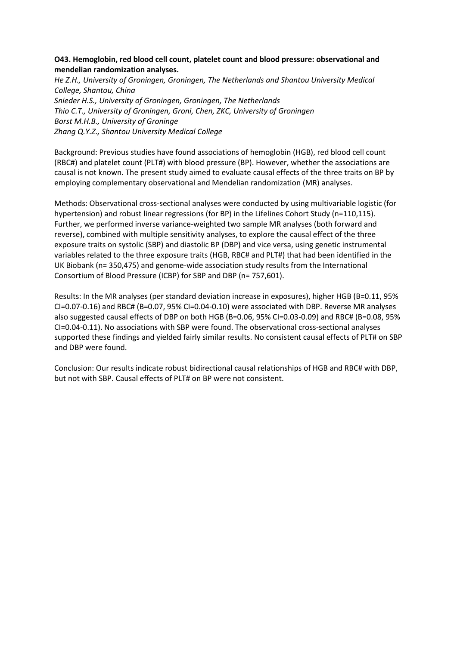# **O43. Hemoglobin, red blood cell count, platelet count and blood pressure: observational and mendelian randomization analyses.**

*He Z.H., University of Groningen, Groningen, The Netherlands and Shantou University Medical College, Shantou, China Snieder H.S., University of Groningen, Groningen, The Netherlands Thio C.T., University of Groningen, Groni, Chen, ZKC, University of Groningen Borst M.H.B., University of Groninge Zhang Q.Y.Z., Shantou University Medical College*

Background: Previous studies have found associations of hemoglobin (HGB), red blood cell count (RBC#) and platelet count (PLT#) with blood pressure (BP). However, whether the associations are causal is not known. The present study aimed to evaluate causal effects of the three traits on BP by employing complementary observational and Mendelian randomization (MR) analyses.

Methods: Observational cross-sectional analyses were conducted by using multivariable logistic (for hypertension) and robust linear regressions (for BP) in the Lifelines Cohort Study (n=110,115). Further, we performed inverse variance-weighted two sample MR analyses (both forward and reverse), combined with multiple sensitivity analyses, to explore the causal effect of the three exposure traits on systolic (SBP) and diastolic BP (DBP) and vice versa, using genetic instrumental variables related to the three exposure traits (HGB, RBC# and PLT#) that had been identified in the UK Biobank (n= 350,475) and genome-wide association study results from the International Consortium of Blood Pressure (ICBP) for SBP and DBP (n= 757,601).

Results: In the MR analyses (per standard deviation increase in exposures), higher HGB (B=0.11, 95% CI=0.07-0.16) and RBC# (B=0.07, 95% CI=0.04-0.10) were associated with DBP. Reverse MR analyses also suggested causal effects of DBP on both HGB (B=0.06, 95% CI=0.03-0.09) and RBC# (B=0.08, 95% CI=0.04-0.11). No associations with SBP were found. The observational cross-sectional analyses supported these findings and yielded fairly similar results. No consistent causal effects of PLT# on SBP and DBP were found.

Conclusion: Our results indicate robust bidirectional causal relationships of HGB and RBC# with DBP, but not with SBP. Causal effects of PLT# on BP were not consistent.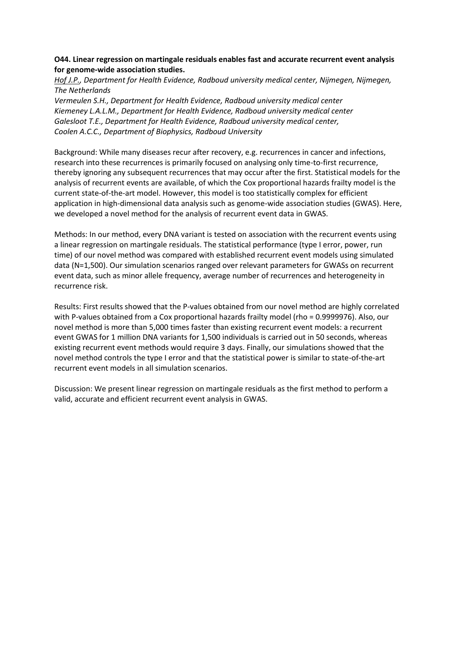# **O44. Linear regression on martingale residuals enables fast and accurate recurrent event analysis for genome-wide association studies.**

*Hof J.P., Department for Health Evidence, Radboud university medical center, Nijmegen, Nijmegen, The Netherlands*

*Vermeulen S.H., Department for Health Evidence, Radboud university medical center Kiemeney L.A.L.M., Department for Health Evidence, Radboud university medical center Galesloot T.E., Department for Health Evidence, Radboud university medical center, Coolen A.C.C., Department of Biophysics, Radboud University*

Background: While many diseases recur after recovery, e.g. recurrences in cancer and infections, research into these recurrences is primarily focused on analysing only time-to-first recurrence, thereby ignoring any subsequent recurrences that may occur after the first. Statistical models for the analysis of recurrent events are available, of which the Cox proportional hazards frailty model is the current state-of-the-art model. However, this model is too statistically complex for efficient application in high-dimensional data analysis such as genome-wide association studies (GWAS). Here, we developed a novel method for the analysis of recurrent event data in GWAS.

Methods: In our method, every DNA variant is tested on association with the recurrent events using a linear regression on martingale residuals. The statistical performance (type I error, power, run time) of our novel method was compared with established recurrent event models using simulated data (N=1,500). Our simulation scenarios ranged over relevant parameters for GWASs on recurrent event data, such as minor allele frequency, average number of recurrences and heterogeneity in recurrence risk.

Results: First results showed that the P-values obtained from our novel method are highly correlated with P-values obtained from a Cox proportional hazards frailty model (rho = 0.9999976). Also, our novel method is more than 5,000 times faster than existing recurrent event models: a recurrent event GWAS for 1 million DNA variants for 1,500 individuals is carried out in 50 seconds, whereas existing recurrent event methods would require 3 days. Finally, our simulations showed that the novel method controls the type I error and that the statistical power is similar to state-of-the-art recurrent event models in all simulation scenarios.

Discussion: We present linear regression on martingale residuals as the first method to perform a valid, accurate and efficient recurrent event analysis in GWAS.